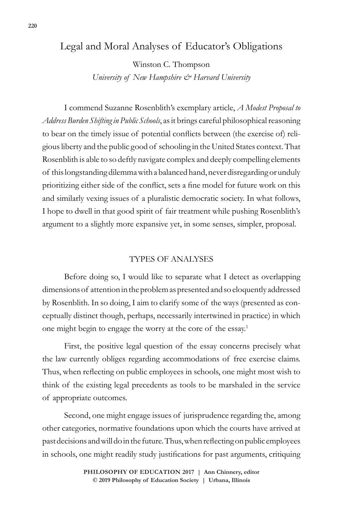## Legal and Moral Analyses of Educator's Obligations

Winston C. Thompson

*University of New Hampshire & Harvard University*

I commend Suzanne Rosenblith's exemplary article, *A Modest Proposal to Address Burden Shifting in Public Schools*, as it brings careful philosophical reasoning to bear on the timely issue of potential conflicts between (the exercise of) religious liberty and the public good of schooling in the United States context. That Rosenblith is able to so deftly navigate complex and deeply compelling elements of this longstanding dilemma with a balanced hand, never disregarding or unduly prioritizing either side of the conflict, sets a fine model for future work on this and similarly vexing issues of a pluralistic democratic society. In what follows, I hope to dwell in that good spirit of fair treatment while pushing Rosenblith's argument to a slightly more expansive yet, in some senses, simpler, proposal.

## TYPES OF ANALYSES

Before doing so, I would like to separate what I detect as overlapping dimensions of attention in the problem as presented and so eloquently addressed by Rosenblith. In so doing, I aim to clarify some of the ways (presented as conceptually distinct though, perhaps, necessarily intertwined in practice) in which one might begin to engage the worry at the core of the essay.<sup>1</sup>

First, the positive legal question of the essay concerns precisely what the law currently obliges regarding accommodations of free exercise claims. Thus, when reflecting on public employees in schools, one might most wish to think of the existing legal precedents as tools to be marshaled in the service of appropriate outcomes.

Second, one might engage issues of jurisprudence regarding the, among other categories, normative foundations upon which the courts have arrived at past decisions and will do in the future. Thus, when reflecting on public employees in schools, one might readily study justifications for past arguments, critiquing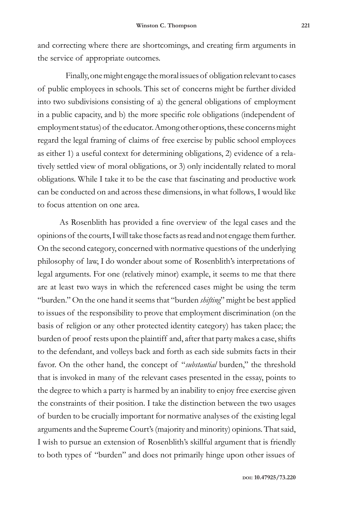and correcting where there are shortcomings, and creating firm arguments in the service of appropriate outcomes.

Finally, one might engage the moral issues of obligation relevant to cases of public employees in schools. This set of concerns might be further divided into two subdivisions consisting of a) the general obligations of employment in a public capacity, and b) the more specific role obligations (independent of employment status) of the educator. Among other options, these concerns might regard the legal framing of claims of free exercise by public school employees as either 1) a useful context for determining obligations, 2) evidence of a relatively settled view of moral obligations, or 3) only incidentally related to moral obligations. While I take it to be the case that fascinating and productive work can be conducted on and across these dimensions, in what follows, I would like to focus attention on one area.

As Rosenblith has provided a fine overview of the legal cases and the opinions of the courts, I will take those facts as read and not engage them further. On the second category, concerned with normative questions of the underlying philosophy of law, I do wonder about some of Rosenblith's interpretations of legal arguments. For one (relatively minor) example, it seems to me that there are at least two ways in which the referenced cases might be using the term "burden." On the one hand it seems that "burden *shifting*" might be best applied to issues of the responsibility to prove that employment discrimination (on the basis of religion or any other protected identity category) has taken place; the burden of proof rests upon the plaintiff and, after that party makes a case, shifts to the defendant, and volleys back and forth as each side submits facts in their favor. On the other hand, the concept of "*substantial* burden," the threshold that is invoked in many of the relevant cases presented in the essay, points to the degree to which a party is harmed by an inability to enjoy free exercise given the constraints of their position. I take the distinction between the two usages of burden to be crucially important for normative analyses of the existing legal arguments and the Supreme Court's (majority and minority) opinions. That said, I wish to pursue an extension of Rosenblith's skillful argument that is friendly to both types of "burden" and does not primarily hinge upon other issues of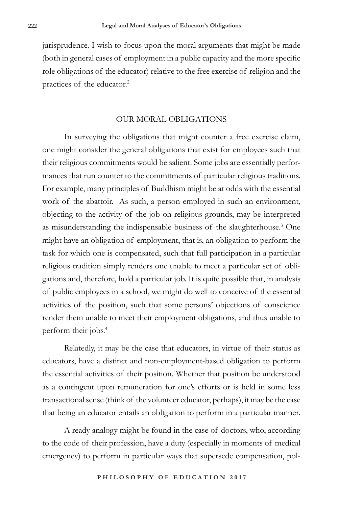jurisprudence. I wish to focus upon the moral arguments that might be made (both in general cases of employment in a public capacity and the more specific role obligations of the educator) relative to the free exercise of religion and the practices of the educator.<sup>2</sup>

## OUR MORAL OBLIGATIONS

In surveying the obligations that might counter a free exercise claim, one might consider the general obligations that exist for employees such that their religious commitments would be salient. Some jobs are essentially performances that run counter to the commitments of particular religious traditions. For example, many principles of Buddhism might be at odds with the essential work of the abattoir. As such, a person employed in such an environment, objecting to the activity of the job on religious grounds, may be interpreted as misunderstanding the indispensable business of the slaughterhouse.<sup>3</sup> One might have an obligation of employment, that is, an obligation to perform the task for which one is compensated, such that full participation in a particular religious tradition simply renders one unable to meet a particular set of obligations and, therefore, hold a particular job. It is quite possible that, in analysis of public employees in a school, we might do well to conceive of the essential activities of the position, such that some persons' objections of conscience render them unable to meet their employment obligations, and thus unable to perform their jobs.<sup>4</sup>

Relatedly, it may be the case that educators, in virtue of their status as educators, have a distinct and non-employment-based obligation to perform the essential activities of their position. Whether that position be understood as a contingent upon remuneration for one's efforts or is held in some less transactional sense (think of the volunteer educator, perhaps), it may be the case that being an educator entails an obligation to perform in a particular manner.

A ready analogy might be found in the case of doctors, who, according to the code of their profession, have a duty (especially in moments of medical emergency) to perform in particular ways that supersede compensation, pol-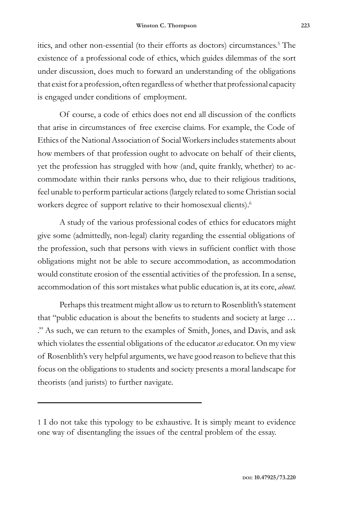itics, and other non-essential (to their efforts as doctors) circumstances.<sup>5</sup> The existence of a professional code of ethics, which guides dilemmas of the sort under discussion, does much to forward an understanding of the obligations that exist for a profession, often regardless of whether that professional capacity is engaged under conditions of employment.

Of course, a code of ethics does not end all discussion of the conflicts that arise in circumstances of free exercise claims. For example, the Code of Ethics of the National Association of Social Workers includes statements about how members of that profession ought to advocate on behalf of their clients, yet the profession has struggled with how (and, quite frankly, whether) to accommodate within their ranks persons who, due to their religious traditions, feel unable to perform particular actions (largely related to some Christian social workers degree of support relative to their homosexual clients).<sup>6</sup>

A study of the various professional codes of ethics for educators might give some (admittedly, non-legal) clarity regarding the essential obligations of the profession, such that persons with views in sufficient conflict with those obligations might not be able to secure accommodation, as accommodation would constitute erosion of the essential activities of the profession. In a sense, accommodation of this sort mistakes what public education is, at its core, *about*.

Perhaps this treatment might allow us to return to Rosenblith's statement that "public education is about the benefits to students and society at large … ." As such, we can return to the examples of Smith, Jones, and Davis, and ask which violates the essential obligations of the educator *as* educator. On my view of Rosenblith's very helpful arguments, we have good reason to believe that this focus on the obligations to students and society presents a moral landscape for theorists (and jurists) to further navigate.

<sup>1</sup> I do not take this typology to be exhaustive. It is simply meant to evidence one way of disentangling the issues of the central problem of the essay.